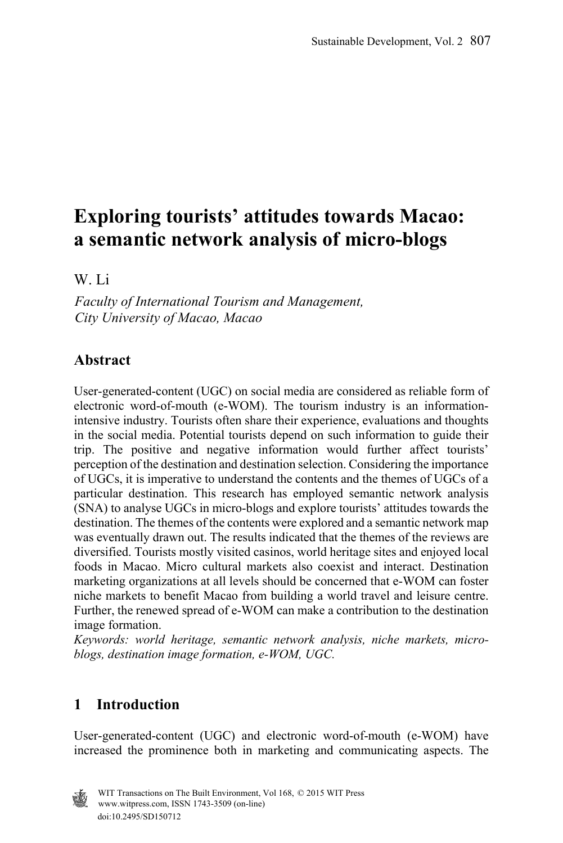# **Exploring tourists' attitudes towards Macao: a semantic network analysis of micro-blogs**

W. Li

*Faculty of International Tourism and Management, City University of Macao, Macao* 

# **Abstract**

User-generated-content (UGC) on social media are considered as reliable form of electronic word-of-mouth (e-WOM). The tourism industry is an informationintensive industry. Tourists often share their experience, evaluations and thoughts in the social media. Potential tourists depend on such information to guide their trip. The positive and negative information would further affect tourists' perception of the destination and destination selection. Considering the importance of UGCs, it is imperative to understand the contents and the themes of UGCs of a particular destination. This research has employed semantic network analysis (SNA) to analyse UGCs in micro-blogs and explore tourists' attitudes towards the destination. The themes of the contents were explored and a semantic network map was eventually drawn out. The results indicated that the themes of the reviews are diversified. Tourists mostly visited casinos, world heritage sites and enjoyed local foods in Macao. Micro cultural markets also coexist and interact. Destination marketing organizations at all levels should be concerned that e-WOM can foster niche markets to benefit Macao from building a world travel and leisure centre. Further, the renewed spread of e-WOM can make a contribution to the destination image formation.

*Keywords: world heritage, semantic network analysis, niche markets, microblogs, destination image formation, e-WOM, UGC.* 

# **1 Introduction**

User-generated-content (UGC) and electronic word-of-mouth (e-WOM) have increased the prominence both in marketing and communicating aspects. The

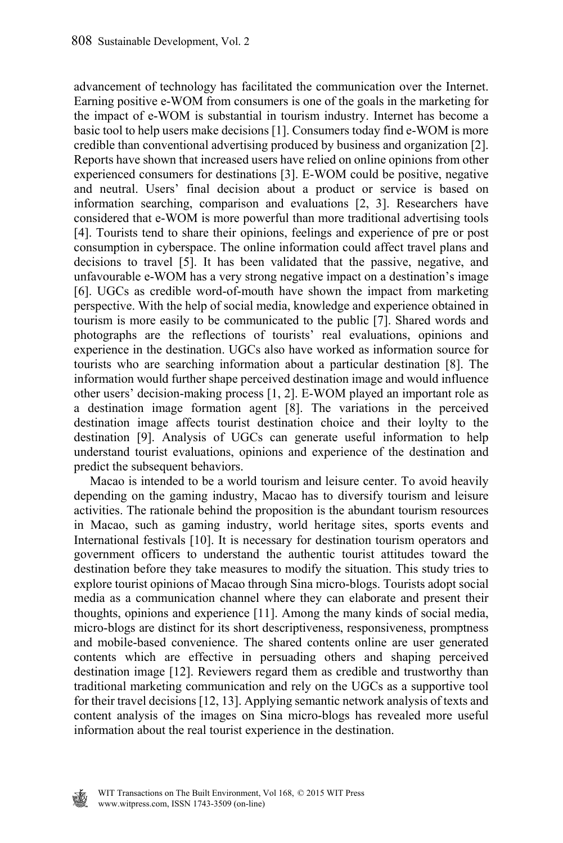advancement of technology has facilitated the communication over the Internet. Earning positive e-WOM from consumers is one of the goals in the marketing for the impact of e-WOM is substantial in tourism industry. Internet has become a basic tool to help users make decisions [1]. Consumers today find e-WOM is more credible than conventional advertising produced by business and organization [2]. Reports have shown that increased users have relied on online opinions from other experienced consumers for destinations [3]. E-WOM could be positive, negative and neutral. Users' final decision about a product or service is based on information searching, comparison and evaluations [2, 3]. Researchers have considered that e-WOM is more powerful than more traditional advertising tools [4]. Tourists tend to share their opinions, feelings and experience of pre or post consumption in cyberspace. The online information could affect travel plans and decisions to travel [5]. It has been validated that the passive, negative, and unfavourable e-WOM has a very strong negative impact on a destination's image [6]. UGCs as credible word-of-mouth have shown the impact from marketing perspective. With the help of social media, knowledge and experience obtained in tourism is more easily to be communicated to the public [7]. Shared words and photographs are the reflections of tourists' real evaluations, opinions and experience in the destination. UGCs also have worked as information source for tourists who are searching information about a particular destination [8]. The information would further shape perceived destination image and would influence other users' decision-making process [1, 2]. E-WOM played an important role as a destination image formation agent [8]. The variations in the perceived destination image affects tourist destination choice and their loylty to the destination [9]. Analysis of UGCs can generate useful information to help understand tourist evaluations, opinions and experience of the destination and predict the subsequent behaviors.

 Macao is intended to be a world tourism and leisure center. To avoid heavily depending on the gaming industry, Macao has to diversify tourism and leisure activities. The rationale behind the proposition is the abundant tourism resources in Macao, such as gaming industry, world heritage sites, sports events and International festivals [10]. It is necessary for destination tourism operators and government officers to understand the authentic tourist attitudes toward the destination before they take measures to modify the situation. This study tries to explore tourist opinions of Macao through Sina micro-blogs. Tourists adopt social media as a communication channel where they can elaborate and present their thoughts, opinions and experience [11]. Among the many kinds of social media, micro-blogs are distinct for its short descriptiveness, responsiveness, promptness and mobile-based convenience. The shared contents online are user generated contents which are effective in persuading others and shaping perceived destination image [12]. Reviewers regard them as credible and trustworthy than traditional marketing communication and rely on the UGCs as a supportive tool for their travel decisions [12, 13]. Applying semantic network analysis of texts and content analysis of the images on Sina micro-blogs has revealed more useful information about the real tourist experience in the destination.

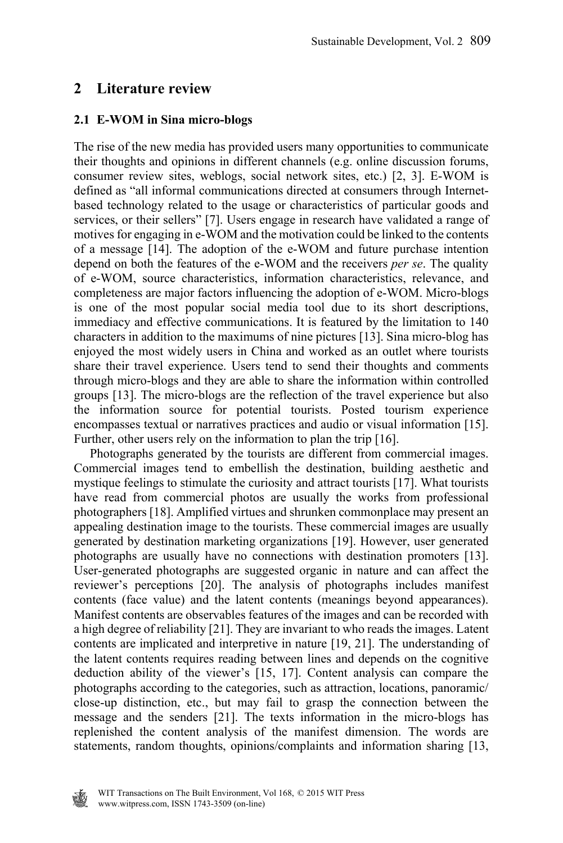## **2 Literature review**

#### **2.1 E-WOM in Sina micro-blogs**

The rise of the new media has provided users many opportunities to communicate their thoughts and opinions in different channels (e.g. online discussion forums, consumer review sites, weblogs, social network sites, etc.) [2, 3]. E-WOM is defined as "all informal communications directed at consumers through Internetbased technology related to the usage or characteristics of particular goods and services, or their sellers" [7]. Users engage in research have validated a range of motives for engaging in e-WOM and the motivation could be linked to the contents of a message [14]. The adoption of the e-WOM and future purchase intention depend on both the features of the e-WOM and the receivers *per se*. The quality of e-WOM, source characteristics, information characteristics, relevance, and completeness are major factors influencing the adoption of e-WOM. Micro-blogs is one of the most popular social media tool due to its short descriptions, immediacy and effective communications. It is featured by the limitation to 140 characters in addition to the maximums of nine pictures [13]. Sina micro-blog has enjoyed the most widely users in China and worked as an outlet where tourists share their travel experience. Users tend to send their thoughts and comments through micro-blogs and they are able to share the information within controlled groups [13]. The micro-blogs are the reflection of the travel experience but also the information source for potential tourists. Posted tourism experience encompasses textual or narratives practices and audio or visual information [15]. Further, other users rely on the information to plan the trip [16].

 Photographs generated by the tourists are different from commercial images. Commercial images tend to embellish the destination, building aesthetic and mystique feelings to stimulate the curiosity and attract tourists [17]. What tourists have read from commercial photos are usually the works from professional photographers [18]. Amplified virtues and shrunken commonplace may present an appealing destination image to the tourists. These commercial images are usually generated by destination marketing organizations [19]. However, user generated photographs are usually have no connections with destination promoters [13]. User-generated photographs are suggested organic in nature and can affect the reviewer's perceptions [20]. The analysis of photographs includes manifest contents (face value) and the latent contents (meanings beyond appearances). Manifest contents are observables features of the images and can be recorded with a high degree of reliability [21]. They are invariant to who reads the images. Latent contents are implicated and interpretive in nature [19, 21]. The understanding of the latent contents requires reading between lines and depends on the cognitive deduction ability of the viewer's [15, 17]. Content analysis can compare the photographs according to the categories, such as attraction, locations, panoramic/ close-up distinction, etc., but may fail to grasp the connection between the message and the senders [21]. The texts information in the micro-blogs has replenished the content analysis of the manifest dimension. The words are statements, random thoughts, opinions/complaints and information sharing [13,

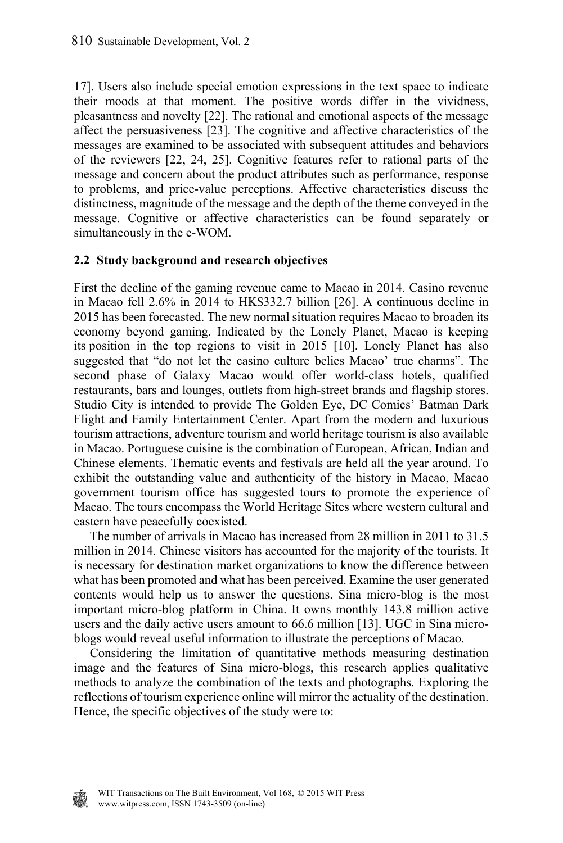17]. Users also include special emotion expressions in the text space to indicate their moods at that moment. The positive words differ in the vividness, pleasantness and novelty [22]. The rational and emotional aspects of the message affect the persuasiveness [23]. The cognitive and affective characteristics of the messages are examined to be associated with subsequent attitudes and behaviors of the reviewers [22, 24, 25]. Cognitive features refer to rational parts of the message and concern about the product attributes such as performance, response to problems, and price-value perceptions. Affective characteristics discuss the distinctness, magnitude of the message and the depth of the theme conveyed in the message. Cognitive or affective characteristics can be found separately or simultaneously in the e-WOM.

#### **2.2 Study background and research objectives**

First the decline of the gaming revenue came to Macao in 2014. Casino revenue in Macao fell 2.6% in 2014 to HK\$332.7 billion [26]. A continuous decline in 2015 has been forecasted. The new normal situation requires Macao to broaden its economy beyond gaming. Indicated by the Lonely Planet, Macao is keeping its position in the top regions to visit in 2015 [10]. Lonely Planet has also suggested that "do not let the casino culture belies Macao' true charms". The second phase of Galaxy Macao would offer world-class hotels, qualified restaurants, bars and lounges, outlets from high-street brands and flagship stores. Studio City is intended to provide The Golden Eye, DC Comics' Batman Dark Flight and Family Entertainment Center. Apart from the modern and luxurious tourism attractions, adventure tourism and world heritage tourism is also available in Macao. Portuguese cuisine is the combination of European, African, Indian and Chinese elements. Thematic events and festivals are held all the year around. To exhibit the outstanding value and authenticity of the history in Macao, Macao government tourism office has suggested tours to promote the experience of Macao. The tours encompass the World Heritage Sites where western cultural and eastern have peacefully coexisted.

 The number of arrivals in Macao has increased from 28 million in 2011 to 31.5 million in 2014. Chinese visitors has accounted for the majority of the tourists. It is necessary for destination market organizations to know the difference between what has been promoted and what has been perceived. Examine the user generated contents would help us to answer the questions. Sina micro-blog is the most important micro-blog platform in China. It owns monthly 143.8 million active users and the daily active users amount to 66.6 million [13]. UGC in Sina microblogs would reveal useful information to illustrate the perceptions of Macao.

 Considering the limitation of quantitative methods measuring destination image and the features of Sina micro-blogs, this research applies qualitative methods to analyze the combination of the texts and photographs. Exploring the reflections of tourism experience online will mirror the actuality of the destination. Hence, the specific objectives of the study were to:

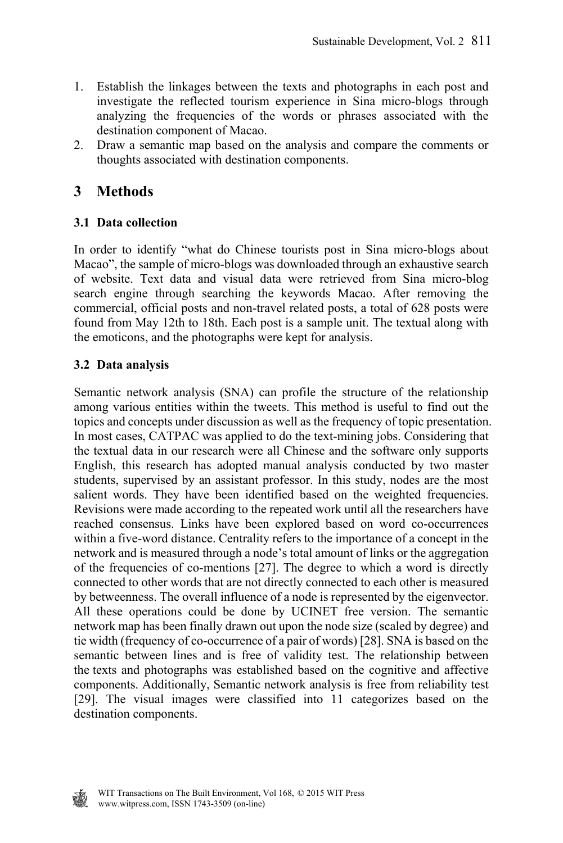- 1. Establish the linkages between the texts and photographs in each post and investigate the reflected tourism experience in Sina micro-blogs through analyzing the frequencies of the words or phrases associated with the destination component of Macao.
- 2. Draw a semantic map based on the analysis and compare the comments or thoughts associated with destination components.

## **3 Methods**

## **3.1 Data collection**

In order to identify "what do Chinese tourists post in Sina micro-blogs about Macao", the sample of micro-blogs was downloaded through an exhaustive search of website. Text data and visual data were retrieved from Sina micro-blog search engine through searching the keywords Macao. After removing the commercial, official posts and non-travel related posts, a total of 628 posts were found from May 12th to 18th. Each post is a sample unit. The textual along with the emoticons, and the photographs were kept for analysis.

#### **3.2 Data analysis**

Semantic network analysis (SNA) can profile the structure of the relationship among various entities within the tweets. This method is useful to find out the topics and concepts under discussion as well as the frequency of topic presentation. In most cases, CATPAC was applied to do the text-mining jobs. Considering that the textual data in our research were all Chinese and the software only supports English, this research has adopted manual analysis conducted by two master students, supervised by an assistant professor. In this study, nodes are the most salient words. They have been identified based on the weighted frequencies. Revisions were made according to the repeated work until all the researchers have reached consensus. Links have been explored based on word co-occurrences within a five-word distance. Centrality refers to the importance of a concept in the network and is measured through a node's total amount of links or the aggregation of the frequencies of co-mentions [27]. The degree to which a word is directly connected to other words that are not directly connected to each other is measured by betweenness. The overall influence of a node is represented by the eigenvector. All these operations could be done by UCINET free version. The semantic network map has been finally drawn out upon the node size (scaled by degree) and tie width (frequency of co-occurrence of a pair of words) [28]. SNA is based on the semantic between lines and is free of validity test. The relationship between the texts and photographs was established based on the cognitive and affective components. Additionally, Semantic network analysis is free from reliability test [29]. The visual images were classified into 11 categorizes based on the destination components.

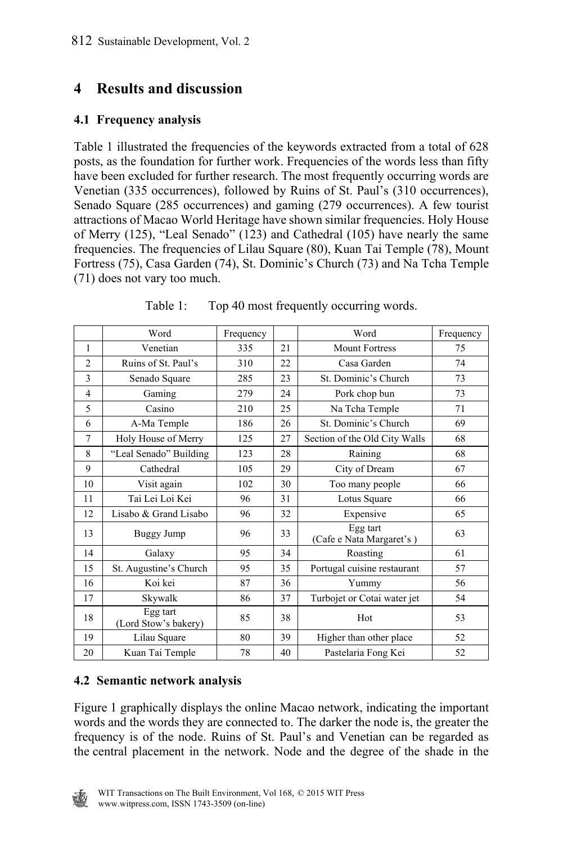## **4 Results and discussion**

### **4.1 Frequency analysis**

Table 1 illustrated the frequencies of the keywords extracted from a total of 628 posts, as the foundation for further work. Frequencies of the words less than fifty have been excluded for further research. The most frequently occurring words are Venetian (335 occurrences), followed by Ruins of St. Paul's (310 occurrences), Senado Square (285 occurrences) and gaming (279 occurrences). A few tourist attractions of Macao World Heritage have shown similar frequencies. Holy House of Merry (125), "Leal Senado" (123) and Cathedral (105) have nearly the same frequencies. The frequencies of Lilau Square (80), Kuan Tai Temple (78), Mount Fortress (75), Casa Garden (74), St. Dominic's Church (73) and Na Tcha Temple (71) does not vary too much.

|                | Word                             | Frequency |    | Word                                 | Frequency |
|----------------|----------------------------------|-----------|----|--------------------------------------|-----------|
| $\mathbf{1}$   | Venetian                         | 335       | 21 | <b>Mount Fortress</b>                | 75        |
| $\overline{2}$ | Ruins of St. Paul's              | 310       | 22 | Casa Garden                          | 74        |
| 3              | Senado Square                    | 285       | 23 | St. Dominic's Church                 | 73        |
| 4              | Gaming                           | 279       | 24 | Pork chop bun                        | 73        |
| 5              | Casino                           | 210       | 25 | Na Tcha Temple                       | 71        |
| 6              | A-Ma Temple                      | 186       | 26 | St. Dominic's Church                 | 69        |
| $\overline{7}$ | Holy House of Merry              | 125       | 27 | Section of the Old City Walls        | 68        |
| 8              | "Leal Senado" Building           | 123       | 28 | Raining                              | 68        |
| 9              | Cathedral                        | 105       | 29 | City of Dream                        | 67        |
| 10             | Visit again                      | 102       | 30 | Too many people                      | 66        |
| 11             | Tai Lei Loi Kei                  | 96        | 31 | Lotus Square                         | 66        |
| 12             | Lisabo & Grand Lisabo            | 96        | 32 | Expensive                            | 65        |
| 13             | Buggy Jump                       | 96        | 33 | Egg tart<br>(Cafe e Nata Margaret's) | 63        |
| 14             | Galaxy                           | 95        | 34 | Roasting                             | 61        |
| 15             | St. Augustine's Church           | 95        | 35 | Portugal cuisine restaurant          | 57        |
| 16             | Koi kei                          | 87        | 36 | Yummy                                | 56        |
| 17             | Skywalk                          | 86        | 37 | Turbojet or Cotai water jet          | 54        |
| 18             | Egg tart<br>(Lord Stow's bakery) | 85        | 38 | Hot                                  | 53        |
| 19             | Lilau Square                     | 80        | 39 | Higher than other place              | 52        |
| 20             | Kuan Tai Temple                  | 78        | 40 | Pastelaria Fong Kei                  | 52        |

Table 1: Top 40 most frequently occurring words.

#### **4.2 Semantic network analysis**

Figure 1 graphically displays the online Macao network, indicating the important words and the words they are connected to. The darker the node is, the greater the frequency is of the node. Ruins of St. Paul's and Venetian can be regarded as the central placement in the network. Node and the degree of the shade in the

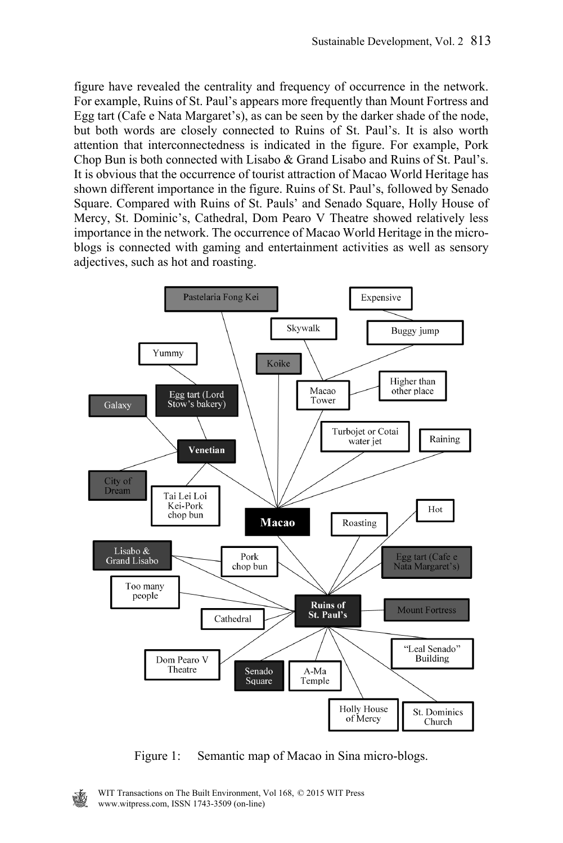figure have revealed the centrality and frequency of occurrence in the network. For example, Ruins of St. Paul's appears more frequently than Mount Fortress and Egg tart (Cafe e Nata Margaret's), as can be seen by the darker shade of the node, but both words are closely connected to Ruins of St. Paul's. It is also worth attention that interconnectedness is indicated in the figure. For example, Pork Chop Bun is both connected with Lisabo & Grand Lisabo and Ruins of St. Paul's. It is obvious that the occurrence of tourist attraction of Macao World Heritage has shown different importance in the figure. Ruins of St. Paul's, followed by Senado Square. Compared with Ruins of St. Pauls' and Senado Square, Holly House of Mercy, St. Dominic's, Cathedral, Dom Pearo V Theatre showed relatively less importance in the network. The occurrence of Macao World Heritage in the microblogs is connected with gaming and entertainment activities as well as sensory adjectives, such as hot and roasting.



Figure 1: Semantic map of Macao in Sina micro-blogs.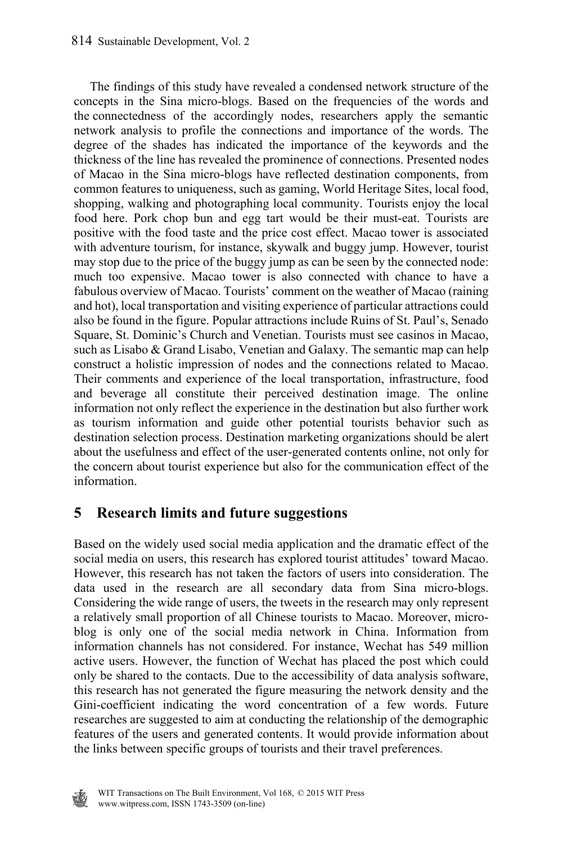The findings of this study have revealed a condensed network structure of the concepts in the Sina micro-blogs. Based on the frequencies of the words and the connectedness of the accordingly nodes, researchers apply the semantic network analysis to profile the connections and importance of the words. The degree of the shades has indicated the importance of the keywords and the thickness of the line has revealed the prominence of connections. Presented nodes of Macao in the Sina micro-blogs have reflected destination components, from common features to uniqueness, such as gaming, World Heritage Sites, local food, shopping, walking and photographing local community. Tourists enjoy the local food here. Pork chop bun and egg tart would be their must-eat. Tourists are positive with the food taste and the price cost effect. Macao tower is associated with adventure tourism, for instance, skywalk and buggy jump. However, tourist may stop due to the price of the buggy jump as can be seen by the connected node: much too expensive. Macao tower is also connected with chance to have a fabulous overview of Macao. Tourists' comment on the weather of Macao (raining and hot), local transportation and visiting experience of particular attractions could also be found in the figure. Popular attractions include Ruins of St. Paul's, Senado Square, St. Dominic's Church and Venetian. Tourists must see casinos in Macao, such as Lisabo & Grand Lisabo, Venetian and Galaxy. The semantic map can help construct a holistic impression of nodes and the connections related to Macao. Their comments and experience of the local transportation, infrastructure, food and beverage all constitute their perceived destination image. The online information not only reflect the experience in the destination but also further work as tourism information and guide other potential tourists behavior such as destination selection process. Destination marketing organizations should be alert about the usefulness and effect of the user-generated contents online, not only for the concern about tourist experience but also for the communication effect of the information.

## **5 Research limits and future suggestions**

Based on the widely used social media application and the dramatic effect of the social media on users, this research has explored tourist attitudes' toward Macao. However, this research has not taken the factors of users into consideration. The data used in the research are all secondary data from Sina micro-blogs. Considering the wide range of users, the tweets in the research may only represent a relatively small proportion of all Chinese tourists to Macao. Moreover, microblog is only one of the social media network in China. Information from information channels has not considered. For instance, Wechat has 549 million active users. However, the function of Wechat has placed the post which could only be shared to the contacts. Due to the accessibility of data analysis software, this research has not generated the figure measuring the network density and the Gini-coefficient indicating the word concentration of a few words. Future researches are suggested to aim at conducting the relationship of the demographic features of the users and generated contents. It would provide information about the links between specific groups of tourists and their travel preferences.

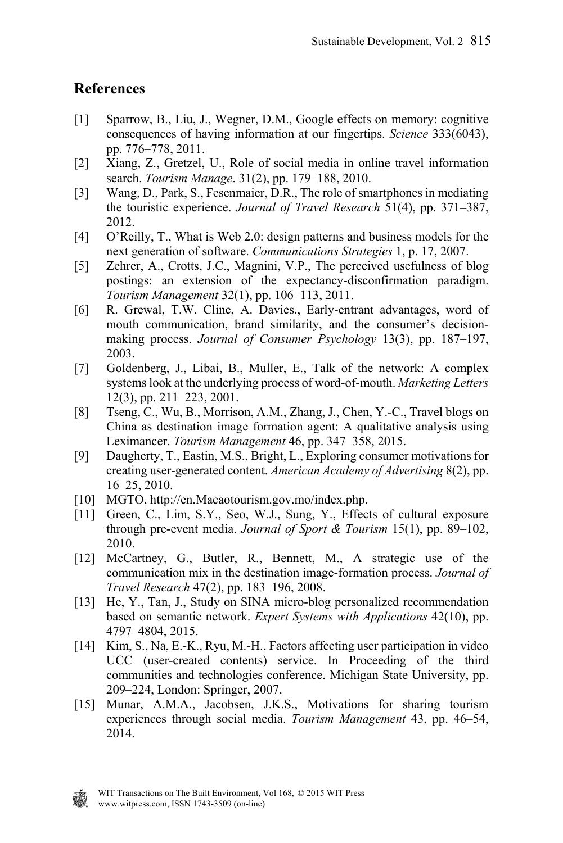## **References**

- [1] Sparrow, B., Liu, J., Wegner, D.M., Google effects on memory: cognitive consequences of having information at our fingertips. *Science* 333(6043), pp. 776–778, 2011.
- [2] Xiang, Z., Gretzel, U., Role of social media in online travel information search. *Tourism Manage*. 31(2), pp. 179–188, 2010.
- [3] Wang, D., Park, S., Fesenmaier, D.R., The role of smartphones in mediating the touristic experience. *Journal of Travel Research* 51(4), pp. 371–387, 2012.
- [4] O'Reilly, T., What is Web 2.0: design patterns and business models for the next generation of software. *Communications Strategies* 1, p. 17, 2007.
- [5] Zehrer, A., Crotts, J.C., Magnini, V.P., The perceived usefulness of blog postings: an extension of the expectancy-disconfirmation paradigm. *Tourism Management* 32(1), pp. 106–113, 2011.
- [6] R. Grewal, T.W. Cline, A. Davies., Early-entrant advantages, word of mouth communication, brand similarity, and the consumer's decisionmaking process. *Journal of Consumer Psychology* 13(3), pp. 187–197, 2003.
- [7] Goldenberg, J., Libai, B., Muller, E., Talk of the network: A complex systems look at the underlying process of word-of-mouth. *Marketing Letters* 12(3), pp. 211–223, 2001.
- [8] Tseng, C., Wu, B., Morrison, A.M., Zhang, J., Chen, Y.-C., Travel blogs on China as destination image formation agent: A qualitative analysis using Leximancer. *Tourism Management* 46, pp. 347–358, 2015.
- [9] Daugherty, T., Eastin, M.S., Bright, L., Exploring consumer motivations for creating user-generated content. *American Academy of Advertising* 8(2), pp. 16–25, 2010.
- [10] MGTO, http://en.Macaotourism.gov.mo/index.php.
- [11] Green, C., Lim, S.Y., Seo, W.J., Sung, Y., Effects of cultural exposure through pre-event media. *Journal of Sport & Tourism* 15(1), pp. 89–102, 2010.
- [12] McCartney, G., Butler, R., Bennett, M., A strategic use of the communication mix in the destination image-formation process. *Journal of Travel Research* 47(2), pp. 183–196, 2008.
- [13] He, Y., Tan, J., Study on SINA micro-blog personalized recommendation based on semantic network. *Expert Systems with Applications* 42(10), pp. 4797–4804, 2015.
- [14] Kim, S., Na, E.-K., Ryu, M.-H., Factors affecting user participation in video UCC (user-created contents) service. In Proceeding of the third communities and technologies conference. Michigan State University, pp. 209–224, London: Springer, 2007.
- [15] Munar, A.M.A., Jacobsen, J.K.S., Motivations for sharing tourism experiences through social media. *Tourism Management* 43, pp. 46–54, 2014.